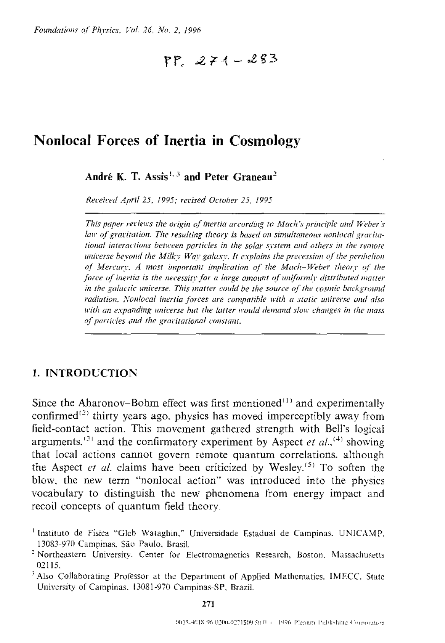# $PP = 271 - 283$

## **Nonlocal Forces of Inertia in Cosmology**

André K. T. Assis<sup>1, 3</sup> and Peter Graneau<sup>2</sup>

Received April 25, 1995; revised October 25, 1995

This paper reviews the origin of inertia according to Mach's principle and Weber's law of gravitation. The resulting theory is based on simultaneous nonlocal gravitational interactions between particles in the solar system and others in the remote universe beyond the Milky Way galaxy. It explains the precession of the perihelion of Mercury, A most important implication of the Mach-Weber theory of the force of inertia is the necessity for a large amount of uniformly distributed matter in the galactic universe. This matter could be the source of the cosmic background radiation. Nonlocal inertia forces are compatible with a static universe and also with an expanding universe but the latter would demand slow changes in the mass of particles and the gravitational constant.

### 1. INTRODUCTION

Since the Aharonov–Bohm effect was first mentioned<sup>(1)</sup> and experimentally confirmed<sup>(2)</sup> thirty years ago, physics has moved imperceptibly away from field-contact action. This movement gathered strength with Bell's logical arguments.<sup>(3)</sup> and the confirmatory experiment by Aspect *et al.*<sup>(4)</sup> showing that local actions cannot govern remote quantum correlations. although the Aspect et al. claims have been criticized by Wesley.<sup>(5)</sup> To soften the blow, the new term "nonlocal action" was introduced into the physics vocabulary to distinguish the new phenomena from energy impact and recoil concepts of quantum field theory.

<sup>&</sup>lt;sup>1</sup> Instituto de Física "Gleb Wataghin," Universidade Estadual de Campinas, UNICAMP. 13083-970 Campinas, São Paulo, Brasil.

<sup>&</sup>lt;sup>2</sup> Northeastern University. Center for Electromagnetics Research, Boston, Massachusetts 02115.

<sup>&</sup>lt;sup>3</sup> Also Collaborating Professor at the Department of Applied Mathematics, IMECC, State University of Campinas, 13081-970 Campinas-SP, Brazil.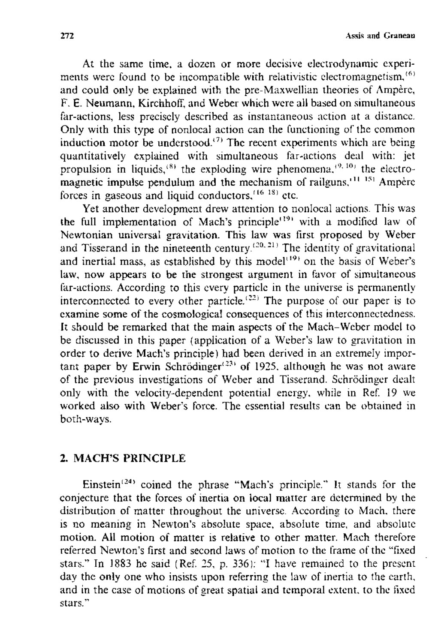At the same time. a dozen or more decislve electrodynamic experiments were found to be incompatible with relativistic electromagnetism,<sup> $(6)$ </sup> and could only be explained with the pre-Maxwellian theones of Ampere, F. E. Neumann, Kirchhoff, and Weber which were all based on simultaneous far-actions, less precisely described as instantaneous action at a distance. Only with this type of nonlocal action can the functioning of the common induction motor be understood.<sup>(7)</sup> The recent experiments which are being quantitatively explained with simultaneous far-actions deal with: jet propulsion in liquids,  $(8)$  the exploding wire phenomena.<sup>19, 10</sup> the electromagnetic impulse pendulum and the mechanism of railguns.<sup>11 151</sup> Ampere forces in gaseous and liquid conductors,<sup> $(16, 18)$ </sup> etc.

Yet another development drew attention to nonlocal actions. This was the full implementation of Mach's principle<sup> $(19)$ </sup> with a modified law of Newtonian universal gravitation. This law was first proposed by Weber and Tisserand in the nineteenth century.<sup> $(20, 21)$ </sup> The identity of gravitational and inertial mass, as established by this model<sup>(19)</sup> on the basis of Weber's law, now appears to be the strongest argument in favor of simultaneous far-actions. According to this every particle in the universe is permanently interconnected to every other particle.<sup> $(22)$ </sup> The purpose of our paper is to examine some of the cosmological consequences of this interconnectedness. **It** should be remarked that the main aspects of the Mach-Weber modcl to be discussed in this paper (application of a Weber's law to gravitation in order to derive Mach's principle) had been derived in an extremely important paper by Erwin Schrödinger<sup>(23)</sup> of 1925, although he was not aware of the previous investigations of Weber and Tisserand. Schrodinger dealt only with the velocity-dependent potential energy, while in Ref. 19 we worked also with Weber's force. The essential results can be obtained in both-ways.

#### 2. MACH'S PRINCIPLE

Einstein<sup>(24)</sup> coined the phrase "Mach's principle." It stands for the conjecture that the forces of mertia on local matter are determined by the distribution of matter throughout the universe\_ According to Mach, there is no meaning in Newton's absolute space, absolute time, and absolute motion. All motion of matter is relative to other matter. Mach therefore referred Newton's first and second laws of motion to the frame of the "fixed stars." In 1883 he said (Ref. 25, p. 336): "I have remained to the present day the only one who insists upon referring the law of inertia to the earth, and in the case of motions of great spatial and temporal extent, to the fixed stars. "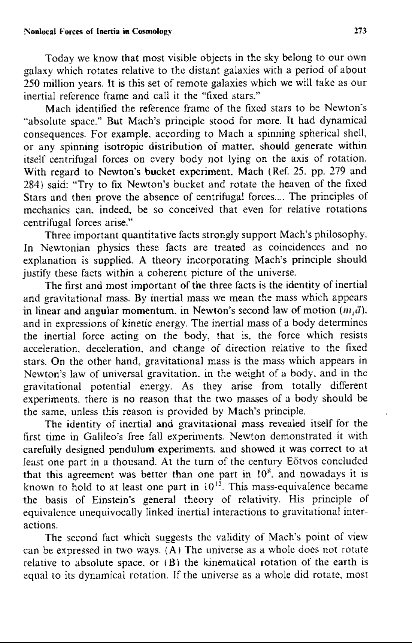#### :"onlocal Forces of **Inertia in** Cosmolol!)· 273

Today we know that most visible objects in the sky belong to our own galaxy which rotates relative to the distant galaxies with a period of about 250 million years. It is this set of remote galaxies which we will take as our inertial reference frame and call it the "fixed stars."

Mach identified the reference frame of the fixed stars to be Newton's "absolute space." But Mach's principle stood for more. It had dynamical consequences. For example, according to Mach a spinning spherical shell, or any spinning isotropic distribution of matter, should generate within itself centrifugal forces on every body not lying on the axis of rotation. With regard to Newton's bucket experiment. Mach (Ref. 25. pp. 279 and 284) said: "Try to fix Newton's bucket and rotate the heaven of the fixed Stars and then prove the absence of centrifugal forces.... The principles of mechanics can. indeed. be so conceived that even for relative rotations centrifugal forces arise."

Three important quantitative facts strongly support Mach's philosophy. In Newtonian physics these facts are treated as coincidences and no explanation is supplied. A theory incorporating Mach's principle should justify these facts within a coherent picture of the universe.

The first and most important of the three facts is the identity of inertial and gravitational mass. By inertial mass we mean the mass which appears in linear and angular momentum, in Newton's second law of motion  $(n<sub>i</sub> \vec{a})$ . and in expressions of kinetic energy. The inertial mass of a body determines the inertial force acting on the body, that is. the force which resists acceleration, deceleration. and change of direction relative to the tixed stars. On the other hand, gravitational mass is the mass which appears in Newton's law of universal gravitation, in the weight of a body, and in the gravitational potential energy. As they arise from totally different experiments, there is no reason that the two masses of a body should be the same, unless this reason is provided by Mach's principle.

The identity of inertial and gravitational mass revealed itself for the first time in Galileo's free fall experiments. Newton demonstrated it with carefully designed pendulum experiments. and showed it was correct to at least one part in a thousand. At the turn of the century Eotvos concluded that this agreement was better than one part in 10<sup>8</sup>, and nowadays it is known to hold to at least one part in  $10^{12}$ . This mass-equivalence became the basis of Einstein's general theory of relativity. His principle of equivalence unequivocally linked inertial interactions to gravitational interactions.

The second fact which suggests the validity of Mach's point of vicw can be expressed in two ways. (A) The universe as a whole docs not rotate relative to absolute space, or  $(B)$  the kinematical rotation of the earth is equal to its dynamical rotation. If the universe as a whole did rotate, most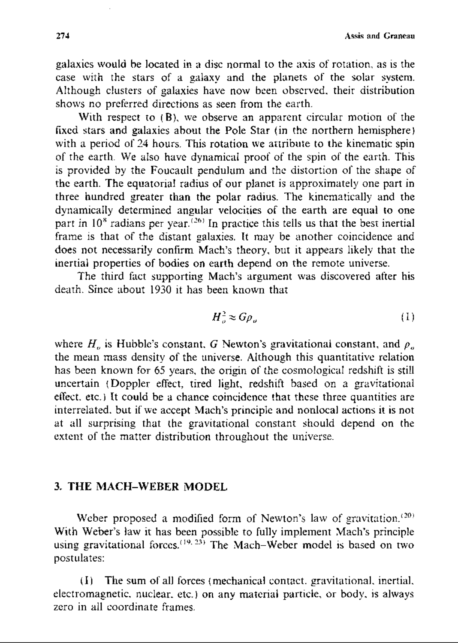Assis and Graneau

galaxies would be located in a disc normal to the axis of rotation, as is the case with the stars of a galaxy and the planets of the solar system. Although clusters of galaxies have now been observed. their distribution shows no preferred directions as seen from the earth.

With respect to (B), we observe an apparent circular motion of the fixed stars and galaxies about the Pole Star (in the northern hemisphere) with a period of 24 hours. This rotation we attribute to the kinematic spin of the earth\_ We also have dynamical proof of the spin of the earth. This is provided by the Foucault pendulum and the distortion of the shape of the earth. The equatorial radius of our planet is approximately one part in three hundred greater than the polar radius. The kinematically and the dynamically determined angular velocities of the earth are equal to one part in  $10^8$  radians per year. (26) In practice this tells us that the best inertial frame is that of the distant galaxies. It may be another coincidence and does not necessarily confirm Mach's theory. but it appears likely that the inertial properties of bodies on earth depend on the remote universe.

The third fact supporting Mach's argument was discovered after his death. Since about 1930 it has been known that

$$
H_o^2 \approx G \rho_o \tag{1}
$$

where  $H_{\rho}$  is Hubble's constant. G Newton's gravitational constant, and  $\rho_{\rho}$ the mean mass density of the universe. Although this quantitative relation has been known for 65 years, the origin of the cosmological redshift is still uncertain (Doppler effect, tired light, redshift based on a gravitational effect, etc.) It could be a chance coincidence that these three quantities are interrelated. but if we accept Mach's principle and nonlocal actions it is not at all surprising that the gravitational constant should depend on the extent of the matter distribution throughout the universe.

#### 3. **THE MACH-WEBER MODEL**

Weber proposed a modified form of Newton's law of gravitation.<sup> $(20)$ </sup> With Weber's law it has been possible to fully implement Mach's principle using gravitational forces.<sup> $(19, 23)$ </sup> The Mach-Weber model is based on two postulates:

(I) The sum ofa11 forces (mechanical *wnwcl.* gravitational. inertial. electromagnetic, nuclear, etc.) on any material particle, or body, is always zero in all coordinate frames.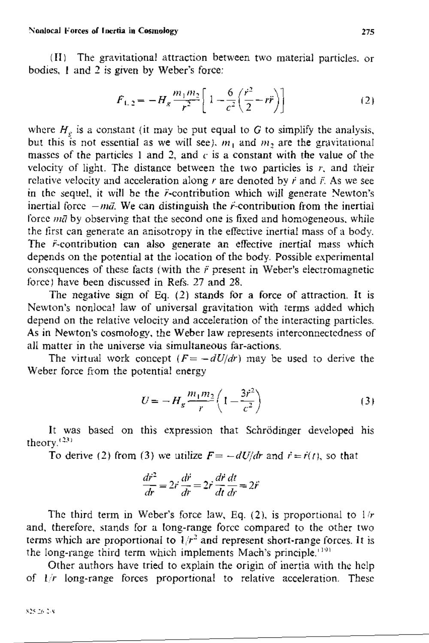(II) The gravitational attraction between two material particles, or bodies, 1 and 2 is given by Weber's force:

$$
F_{1,2} = -H_g \frac{m_1 m_2}{r^2} \left[ 1 - \frac{6}{c^2} \left( \frac{r^2}{2} - r \ddot{r} \right) \right]
$$
 (2)

where  $H_g$  is a constant (it may be put equal to G to simplify the analysis, but this is not essential as we will see),  $m_1$  and  $m_2$  are the gravitational masses of the particles 1 and 2, and  $c$  is a constant with the value of the velocity of light. The distance between the two particles is  $r$ , and their relative velocity and acceleration along  $r$  are denoted by  $\vec{r}$  and  $\vec{r}$ . As we see in the sequel, it will be the *i*-contribution which will generate Newton's inertial force  $-m\vec{a}$ . We can distinguish the *r*-contribution from the inertial force  $m\bar{q}$  by observing that the second one is fixed and homogeneous, while the first can generate an anisotropy in the effective inertial mass of a body. The *i*-contribution can also generate an effective inertial mass which depends on the potential at the location of the body. Possible experimental consequences of these facts (with the  $\ddot{r}$  present in Weber's electromagnetic force) have been discussed in Refs. 27 and 28.

The negative sign of Eq.  $(2)$  stands for a force of attraction. It is Newton's nonlocal law of universal gravitation with terms added which depend on the relative velocity and acceleration of the interacting particles. As in Newton's cosmology, the Weber law represents interconnectedness of all matter in the universe via simultaneous far-actions

The virtual work concept  $(F = -dU/dr)$  may be used to derive the Weber force from the potential energy

$$
U = -H_g \frac{m_1 m_2}{r} \left( 1 - \frac{3r^2}{c^2} \right)
$$
 (3)

It was based on this expression that Schrödinger developed his theory. $(23)$ 

To derive (2) from (3) we utilize  $F = -dU/dr$  and  $\vec{r} = \vec{r}(t)$ , so that

$$
\frac{d\vec{r}^2}{dr} = 2\vec{r}\frac{d\vec{r}}{dr} = 2\vec{r}\frac{d\vec{r}}{dt}\frac{dt}{dr} = 2\vec{r}
$$

The third term in Weber's force law, Eq. (2), is proportional to  $1/r$ and, therefore, stands for a long-range force compared to the other two terms which are proportional to  $1/r^2$  and represent short-range forces. It is the long-range third term which implements Mach's principle.<sup>1191</sup>

Other authors have tried to explain the origin of inertia with the help of  $1/r$  long-range forces proportional to relative acceleration. These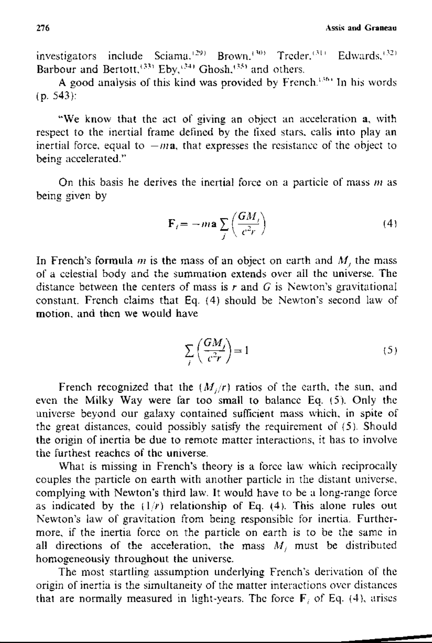276 **Assis and Graneau** 

investigators include Sciama.<sup>129</sup> Brown.<sup>130</sup> Treder.<sup>(31)</sup> Edwards.<sup>432)</sup> Barbour and Bertott,  $^{(33)}$  Eby,  $^{(34)}$  Ghosh,  $^{(35)}$  and others.

A good analysis of this kind was provided by French.<sup>1364</sup> In his words  $(p.543)$ :

"We know that the act of giving an object an acceleration a, with respect to the inertial frame defined by the fixed stars. calls into play an inertial force, equal to  $-ma$ , that expresses the resistance of the object to being accelerated."

On this basis he derives the inertial force on a particle of mass  $m$  as being given by

$$
\mathbf{F}_i = -m\mathbf{a} \sum_j \left(\frac{GM_j}{c^2r}\right) \tag{4}
$$

In French's formula  $m$  is the mass of an object on earth and  $M<sub>i</sub>$ , the mass of a celestial body and the summation extends over all the universe. The distance between the centers of mass is r and G is Newton's gravitational constant. French claims that Eg. (4) should be Newton's second law of motion, and then we would have

$$
\sum_{i} \left( \frac{GM_i}{c^2 r} \right) = 1 \tag{5}
$$

French recognized that the  $(M_i/r)$  ratios of the earth, the sun, and even the Milky Way were far too small to balance Eq. (5). Only the universe beyond our galaxy contained sufficient mass which, in spite of the great distances, could possibly satisfy the requirement of  $(5)$ . Should the origin of inertia be due to remote matter interactions, it has to involve the furthest reaches of the universe.

What is missing in French's theory is a force law which reciprocally couples the particle on earth with another particle in the distant universe, complying with Newton's third law. It would have to be a long-range force as indicated by the  $(1/r)$  relationship of Eq. (4). This alone rules out Newton's law of gravitation from being responsible for inertia. Furthermore, if the inertia force on the particle on earth is to be the same in all directions of the acceleration, the mass  $M_i$ , must be distributed homogeneously throughout the universe.

The most startling assumption underlying French's derivation of the origin of inertia is the simultaneity of the matter interactions over distances that are normally measured in light-years. The force  $\mathbf{F}_i$  of Eq. (4), arises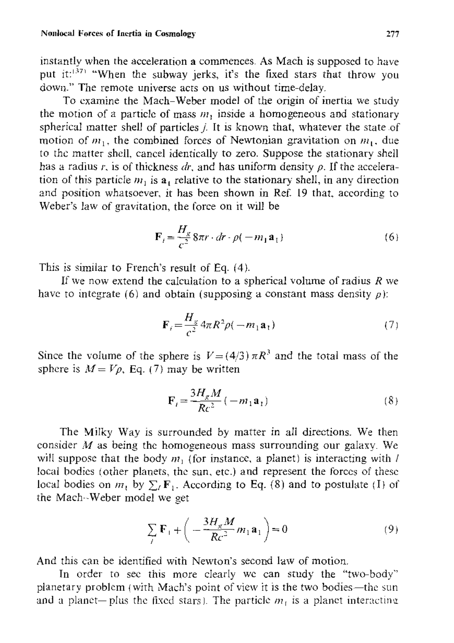#### Nonlocal Forces of Inertia in Cosmology 277

instantly when the acceleration a commences. As Mach is supposed to have put it:<sup>1371</sup> "When the subway jerks, it's the fixed stars that throw you down." The remote universe acts on us without time-delay.

To examine the Mach-Weber model of the origin of inertia we study the motion of a particle of mass  $m<sub>1</sub>$  inside a homogeneous and stationary spherical matter shell of particles  $j$ . It is known that, whatever the state of motion of  $m_1$ , the combined forces of Newtonian gravitation on  $m_1$ , due to the matter shell. cancel identically to zero. Suppose the stationary shell has a radius  $r$ , is of thickness  $dr$ , and has uniform density  $\rho$ . If the acceleration of this particle  $m_1$  is a<sub>t</sub> relative to the stationary shell, in any direction and position whatsoever, it has been shown in Ref. 19 that. according to Weber's law of gravitation, the force on it will be

$$
\mathbf{F}_i = \frac{H_g}{c^2} 8\pi r \cdot dr \cdot \rho(-m_1 \mathbf{a}_1) \tag{6}
$$

This is similar to French's result of Eq. (4).

If we now extend the calculation to a spherical volume of radius  $R$  we have to integrate (6) and obtain (supposing a constant mass density  $\rho$ ):

$$
\mathbf{F}_i = \frac{H_g}{c^2} 4\pi R^2 \rho(-m_1 \mathbf{a}_1) \tag{7}
$$

Since the volume of the sphere is  $V = (4/3) \pi R^3$  and the total mass of the sphere is  $M = V\rho$ , Eq. (7) may be written

$$
\mathbf{F}_{i} = \frac{3H_{g}M}{Rc^{2}} \left( -m_{1}\mathbf{a}_{1} \right)
$$
 (8)

The Milky Way is surrounded by matter in all directions. We then consider  $M$  as being the homogeneous mass surrounding our galaxy. We will suppose that the body  $m_1$  (for instance, a planet) is interacting with l local bodies (other planets, the sun, etc.) and represent the forces of these local bodies on  $m_1$ , by  $\sum_l \mathbf{F}_l$ . According to Eq. (8) and to postulate (I) of the Mach·~Weber model we get

$$
\sum_{i} \mathbf{F}_{i} + \left( -\frac{3H_{g}M}{Rc^{2}} m_{1} \mathbf{a}_{1} \right) = 0 \tag{9}
$$

And this can be identified with Newton's second law of motioo.

In order to see this more clearly we can study the "two-body" planetary problem (with Mach's point of view it is the two bodies—the sun and a planet-plus the fixed stars). The particle  $m_1$  is a planet interacting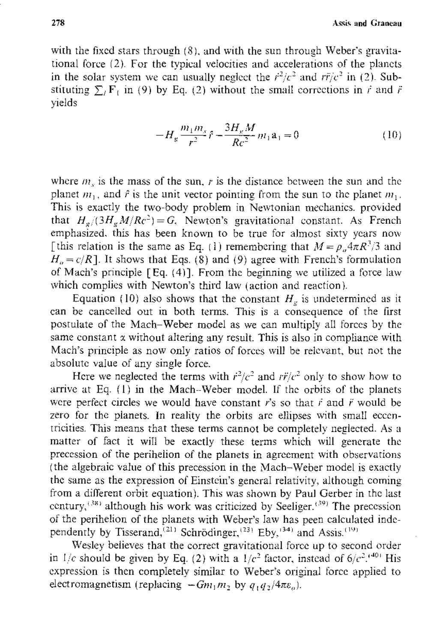with the fixed stars through  $(8)$ , and with the sun through Weber's gravitational force (2). For the typical velocities and accelerations of the planets in the solar system we can usually neglect the  $\ell^2/c^2$  and  $r\ell^2$  in (2). Substituting  $\sum_i$  F<sub>L</sub> in (9) by Eq. (2) without the small corrections in  $\vec{r}$  and  $\vec{r}$ Yields

$$
-H_g \frac{m_1 m_s}{r^2} \hat{r} - \frac{3H_g M}{Rc^2} m_1 a_1 = 0 \tag{10}
$$

where  $m<sub>s</sub>$  is the mass of the sun,  $r$  is the distance between the sun and the planet  $m_1$ , and  $\hat{r}$  is the unit vector pointing from the sun to the planet  $m_1$ . This is exactly the two-body problem in Newtonian mechanics, provided that  $H_g/(3H_g M/Rc^2) = G$ . Newton's gravitational constant. As French emphasized, this has been known to be true for almost sixty years now [this relation is the same as Eq. (1) remembering that  $M = \rho_n 4\pi R^3/3$  and  $H<sub>a</sub> = c/R$ ]. It shows that Eqs. (8) and (9) agree with French's formulation of Mach's principle [Eq. (4)]. From the beginning we utilized a force law which complics with Newton's third law (action and reaction).

Equation (10) also shows that the constant  $H<sub>v</sub>$  is undetermined as it can be cancelled out in both terms. This is a consequence of the first postulate of the Mach-Weber model as we can multiply all forces by the same constant  $x$  without altering any result. This is also in compliance with Mach's principle as now only ratios of forces \vill be relevant, but not the absolute value of any single force.

Here we neglected the terms with  $\frac{\partial^2}{\partial x^2}$  and  $\frac{\partial^2}{\partial y^2}$  only to show how to arrive at Eg. (I) in the Mach--Weber model. If the orbits of the planets were perfect circles we would have constant  $\vec{r}$ 's so that  $\vec{r}$  and  $\vec{r}$  would be zero for the planets. In reality the orbits are ellipses with small eccentricities. This means that these terms cannot be completely neglected. As a matter of fact it will be exactly these terms which will generate the precession of the perihelion of the planets in agreement with observations (the algebraic value of this precession in the Mach-Weber model is exactly the same as the expression of Einstein's general relativity, although coming from a different orbit equation). This was shown by Paul Gerber in the last ccntury,<sup>(38)</sup> although his work was criticized by Seeliger.<sup>(39)</sup> The precession of the perihelion of the planets with Weber's law has peen calculated indcpendently by Tisserand,<sup>(21)</sup> Schrödinger,<sup>(23)</sup> Eby,<sup>(34)</sup> and Assis.<sup>(19)</sup>1

Wesley believes that the correct gravitational force up to second order in  $1/c$  should be given by Eq. (2) with a  $1/c^2$  factor, instead of  $6/c^2$ .<sup>(40)</sup> His expression is then completely similar to Weber's original force applied to electromagnetism (replacing  $-Gm_1m$ , by  $q_1q_2/4\pi\epsilon_{\alpha}$ ).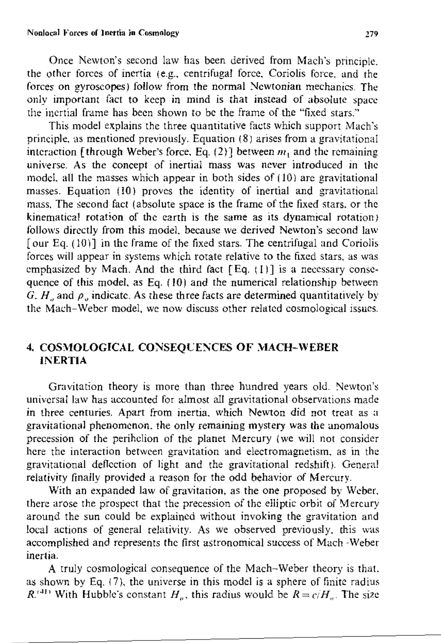Once Newton's second law has been derived from Mach's principle. the other forces of inertia (e.g., centrifugal force, Coriolis force, and the forces on gyroscopes) follow from the normal Newtonian mechanics. The only important fact to keep in mind is that instead of absolute space the inertial frame has been shown to be the frame of the "fixed stars."

This model explains the three quantitative facts which support Mach's principle, as mentioned previously. Equation  $(8)$  arises from a gravitational interaction [through Weber's force, Eq. (2)] between  $m_1$  and the remaining universe. As the concept of inertial mass was never introduced m the model. all the masses which appear in both sides of (10) arc gravitational masses. Equation (l0) proves the identity of inertial and gravitational mass. The second fact (absolute space is the frame of the fixed stars, or the kinematical rotation of the earth is the same as its dynamical rotation) follows directly from this model, because we derived Newton's second law [our Eq. (10)] in the frame of the fixed stars. The centrifugal and Coriolis forces will appear in systems which rotate relative to the fixed stars. as was emphasized by Mach. And the third fact  $[Eq. (1)]$  is a necessary consequence of this model, as Eq. (10) and the numerical relationship between  $G$ ,  $H_{\alpha}$  and  $\rho_{\alpha}$  indicate. As these three facts are determined quantitatively by the Mach-Weber model, we now discuss other related cosmological issues.

## 4. COSMOLOGICAL CONSEQUENCES OF MACH-WEBER **INERTIA**

Gravitation theory is more than three hundred years old. Newton's universal law has accounted for almost all gravitational observations made in three centuries. Apart from inertia, which Newton did not treat as a gravitational phenomenon, the only remaining mystery was the anomalous precession of the perihelion of the planet Mercury (we will not consider here the interaction between gravitation and electromagnetism, as in the gravitational deflection of light and the gravitational redshift). General relativity finally provided a reason for the odd behavior of Mercury.

With an expanded law of gravitation, as the one proposed by Weber, there arose the prospcct that the precession of the elliptic orbit of Mercury around the sun could be explained without invoking the gravitation and local actions of general relativity. As we observed previously, this was accomplished and represents the first astronomical success of Mach -Weber inertia.

A truly cosmological consequence of the Mach-Weber theory is that. as shown by Eq.  $(7)$ , the universe in this model is a sphere of finite radius  $R^{(41)}$  With Hubble's constant *H<sub>n</sub>*, this radius would be  $R = c/H$ . The size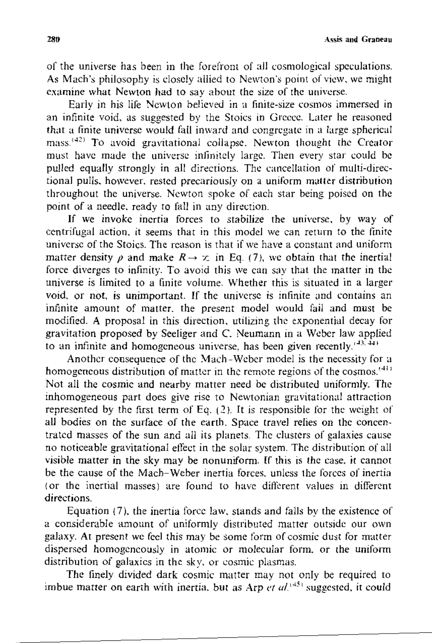**280/ Assis and Graneau** 

of the universe has been in the forefront of all cosmological speculations. As Mach's philosophy is closely allied to Newton's point of view, we might examine what Newton had to say about the size of the universe.

Early in his life Newton believed in a finite-size cosmos immersed in an infinite void, as suggested by the Stoics in Greeec. Later he reasoned that a finite universe would fall inward and congregate in a large spherical mass.<sup>(42)</sup> To avoid gravitational collapse. Newton thought the Creator must have made the universe inlinilcly large. Then every star could be pulled equally strongly in all directions. The cancellation of multi-directional pulls, however, rested precariously on a uniform matter distribution throughout thc universe. Newton spoke of each star being poised on the point of a needle. ready to fall in any direction.

If we invoke inertia forces to stabilize the univcrse, by way of centrifugal action, it seems that in this model we can return to the tinite universe of the Stoics. The reason is that if we have a constant and uniform matter density  $\rho$  and make  $R \rightarrow \infty$  in Eq. (7), we obtain that the inertial force diverges to infinity. To avoid this we can say that the matter in the universe is limited to a finite volume. Whether this is situated in a larger void, or not, is unimportant. If the universe is infinite and contains an infmite amount of matter. the present model would fail and must be modified. A proposal in this direction. utilizing the exponential decay for gravitation proposed by Seeliger and C. Neumann m a Weber law applied to an infinite and homogeneous universe, has been given recently.  $\mathbf{H}^{(1)}$ 

Another consequence of the Mach-Weber model is the necessity for a homogeneous distribution of matter in the remote regions of the cosmos.<sup>'411</sup> Not all the cosmic and nearby matter need be distributed uniformly. The mhomogeneous part does give rise to Newtonian gravitational attraction represented by the first term of Eq.  $(2)$ . It is responsible for the weight of all bodies on the surface of the earth. Space travel relies on the concentrated masses of the sun and all its planets. The clusters of galaxies cause no noticeable gravitational effect in the solar system. The distribution of all visible matter in the sky may be nonuniform. If this is the case, it cannot be the cause of the Mach-Weber inertia forces. unless the Jorces of inertia (or the inertial masses) are found to have different values in different directions.

Equation (7). the inertia force law. stands and falls by the existence of a considemble amount of uniformly distributed matter outside our own galaxy. At present we feel this may be some form of cosmic dust for matter dispersed homogeneously in atomic or molecular form, or the uniform distribution of galaxies in the sky, or cosmic plasmas.

The finely divided dark cosmic matter may not only be required to imbue matter on earth with inertia, but as Arp  $et \, al.^{(45)}$  suggested, it could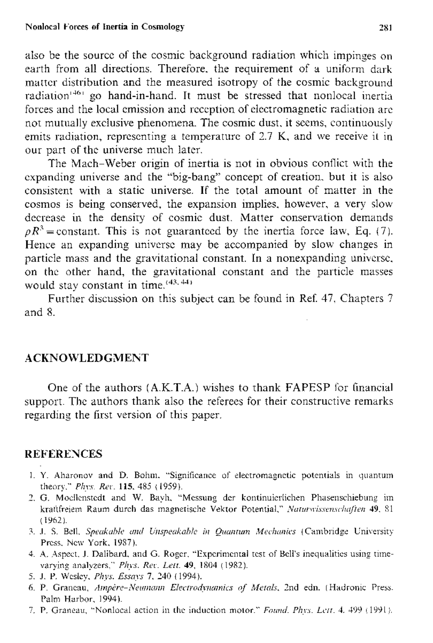also be the source of the cosmic background radiation which impinges on earth from all directions. Therefore, the requirement of a uniform dark matter distribution and the measured isotropy of the cosmic background radiation<sup>1461</sup> go hand-in-hand. It must be stressed that nonlocal inertia forces and the local emission and reception of electromagnetic radiation are not mutually exclusive phenomena. The cosmic dust, it seems, continuously emits radiation, representing a temperature of 2.7 K, and we receive it in our part of the universe much later.

The Mach-Weber origin of inertia is not in obvious conflict with the expanding universe and the "big-bang" concept of creation, but it is also consistent with a static universe. If the total amount of matter in the cosmos is being conserved, the expansion implies, however, a very slow decrease in the density of cosmic dust. Matter conservation demands  $\rho R^3$  = constant. This is not guaranteed by the inertia force law, Eq. (7). Hence an expanding universe may be accompanied by slow changes in particle mass and the gravitational constant. In a nonexpanding universe, on the other hand, the gravitational constant and the particle masses would stay constant in time. $(43, 44)$ 

Further discussion on this subject can be found in Ref. 47, Chapters 7 and 8.

#### **ACKNOWLEDGMENT**

One of the authors (A.K.T.A.) wishes to thank FAPESP for financial support. The authors thank also the referees for their constructive remarks regarding the first version of this paper.

#### **REFERENCES**

- 1. Y. Aharonov and D. Bohm, "Significance of electromagnetic potentials in quantum theory," Phys. Rev. 115, 485 (1959).
- 2. G. Moellenstedt and W. Bayh, "Messung der kontinuierlichen Phasenschiebung im kraftfreiem Raum durch das magnetische Vektor Potential," Naturwissenschaften 49, 81  $(1962)$ .
- 3. J. S. Bell, Speakable and Unspeakable in Quantum Mechanics (Cambridge University Press, New York, 1987).
- 4. A. Aspect, J. Dalibard, and G. Roger, "Experimental test of Bell's inequalities using timevarying analyzers," Phys. Rev. Lett. 49, 1804 (1982).
- 5. J. P. Wesley, Phys. Essays 7, 240 (1994).
- 6. P. Grancau, Ampère-Neumann Electrodynamics of Metals, 2nd edn. (Hadronic Press. Palm Harbor, 1994).
- 7. P. Graneau, "Nonlocal action in the induction motor." Found. Phys. Lett. 4, 499 (1991).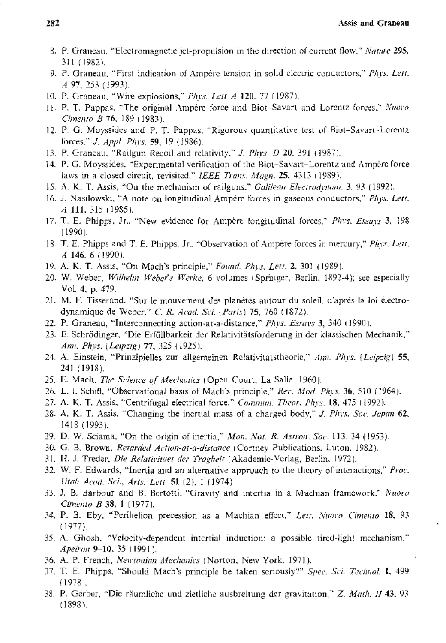- 8. P. Graneau, "Electromagnetic jet-propulsion in the direction of current flow," Nature 295, 311 (1982).
- 9. P. Graneau, "First indication of Ampere tension in solid electric conductors," Phys. Lett. A 97, 253 (1993).
- 10. P. Graneau, "Wire explosions," Phys. Lett A 120, 77 (1987).
- H. P. T. Pappas, "The original Ampère force and Biot-Savart and Lorentz forces," Nuovo Cimento B 76, 189 (1983).
- 12. P. G. Moyssides and P. T. Pappas, "Rigorous quantitative test of Biot-Savart Lorentz forces," J. Appl. Phys. 59, 19 (1986).
- 13. P. Graneau, "Railgun Recoil and relativity," J. Phys. D 20, 391 (1987).
- 14. P. G. Moyssides, "Experimental verification of the Biot-Savart-Lorentz and Ampère force laws in a closed circuit, revisited," IEEE Trans. Magn. 25, 4313 (1989).
- 15. A. K. T. Assis, "On the mechanism of railguns," Galilean Electrodynam. 3, 93 (1992).
- 16. J. Nasilowski, "A note on longitudinal Ampère forces in gaseous conductors," Phys. Lett. A 111, 315 (1985).
- 17. T. E. Phipps, Jr., "New evidence for Ampère longitudinal forces," Phys. Essays 3, 198  $(1990)$ .
- 18. T. E. Phipps and T. E. Phipps. Jr., "Observation of Ampère forces in mercury," Phys. Lett. A 146, 6 (1990).
- 19. A. K. T. Assis, "On Mach's principle," Found. Phys. Lett. 2, 301 (1989).
- 20. W. Weber, Wilhelm Weber's Werke, 6 volumes (Springer, Berlin, 1892-4); see especially Vol. 4, p. 479.
- 21. M. F. Tisserand. "Sur le mouvement des planètes autour du soleil, d'après la loi électrodynamique de Weber," C. R. Acad. Sci. (Paris) 75, 760 (1872).
- 22. P. Graneau, "Interconnecting action-at-a-distance," Phys. Essays 3, 340 (1990),
- 23. E. Schrödinger, "Die Erfüllbarkeit der Relativitätsforderung in der klassischen Mechanik," Ann. Phys. (Leipzig) 77, 325 (1925).
- 24. A. Einstein, "Prinzipielles zur allgemeinen Relativitatstheorie," Am. Phys. (Leipzig) 55, 241 (1918).
- 25. E. Mach, The Science of Mechanics (Open Court, La Salle, 1960).
- 26. L. I. Schiff, "Observational basis of Mach's principle," Rev. Mod. Phys. 36, 510 (1964).
- 27. A. K. T. Assis, "Centrifugal electrical force," Commun. Theor. Phys. 18, 475 (1992).
- 28. A. K. T. Assis, "Changing the inertial mass of a charged body," J. Phys. Soc. Japan 62, 1418 (1993).
- 29. D. W. Sciama, "On the origin of inertia," Mon. Not. R. Astron. Soc. 113, 34 (1953).
- 30. G. B. Brown, Retarded Action-at-a-distance (Cortney Publications, Luton, 1982).
- 31. H. J. Treder, Die Relativitaet der Tragheit (Akademic-Verlag, Berlin, 1972).
- 32. W. F. Edwards, "Inertia and an alternative approach to the theory of interactions," *Proc.* Utah Acad, Sci., Arts, Lett. 51 (2), 1 (1974).
- 33. J. B. Barbour and B. Bertotti, "Gravity and intertia in a Machian framework," Nuoro Cimento B 38, 1 (1977).
- 34, P. B. Eby, "Perihelion precession as a Machian effect," Lett. Nuovo Cimento 18, 93  $(1977)$ .
- 35. A. Ghosh, "Velocity-dependent intertial induction: a possible tired-light mechanism," Apeiron 9-10, 35 (1991).
- 36. A. P. French, Newtonian Mechanics (Norton, New York, 1971).
- 37. T. E. Phipps, "Should Mach's principle be taken seriously?" Spec, Sci. Technol. 1, 499  $(1978)$
- 38. P. Gerber, "Die räumliche und zietliche ausbreitung der gravitation," Z. Math. II 43, 93  $(1898).$